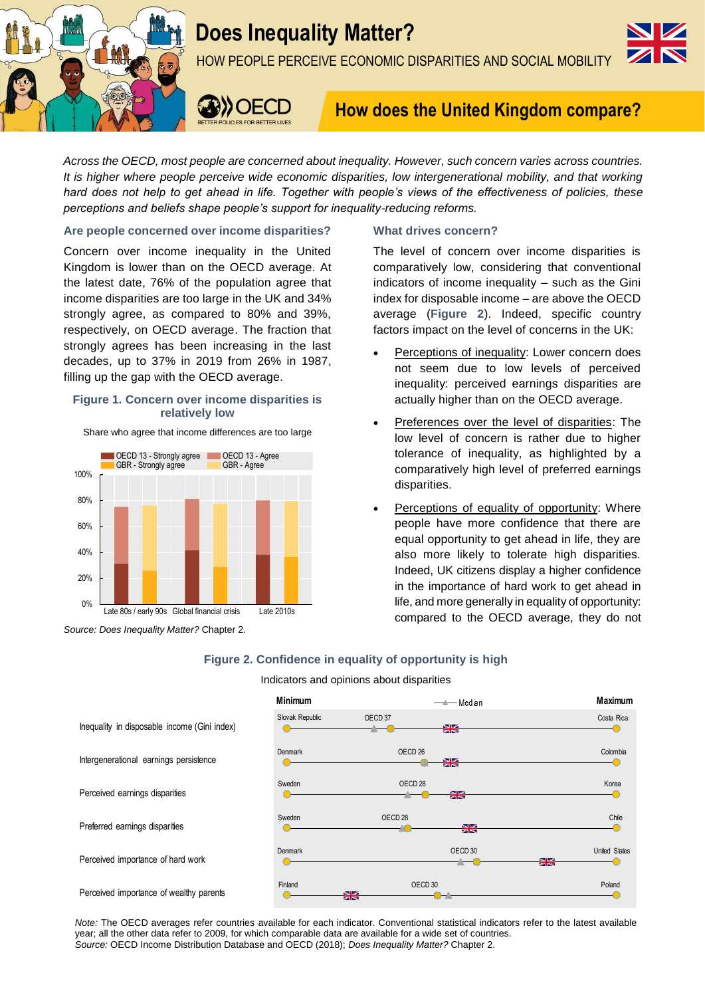



HOW PEOPLE PERCEIVE ECONOMIC DISPARITIES AND SOCIAL MOBILITY



# **How does the United Kingdom compare?**

*Across the OECD, most people are concerned about inequality. However, such concern varies across countries. It is higher where people perceive wide economic disparities, low intergenerational mobility, and that working hard does not help to get ahead in life. Together with people's views of the effectiveness of policies, these perceptions and beliefs shape people's support for inequality-reducing reforms.*

# **Are people concerned over income disparities?**

Concern over income inequality in the United Kingdom is lower than on the OECD average. At the latest date, 76% of the population agree that income disparities are too large in the UK and 34% strongly agree, as compared to 80% and 39%, respectively, on OECD average. The fraction that strongly agrees has been increasing in the last decades, up to 37% in 2019 from 26% in 1987, filling up the gap with the OECD average.

## **Figure 1. Concern over income disparities is relatively low**

Share who agree that income differences are too large



*Source: Does Inequality Matter?* Chapter 2.

# **What drives concern?**

The level of concern over income disparities is comparatively low, considering that conventional indicators of income inequality – such as the Gini index for disposable income – are above the OECD average (**Figure 2**). Indeed, specific country factors impact on the level of concerns in the UK:

- Perceptions of inequality: Lower concern does not seem due to low levels of perceived inequality: perceived earnings disparities are actually higher than on the OECD average.
- Preferences over the level of disparities: The low level of concern is rather due to higher tolerance of inequality, as highlighted by a comparatively high level of preferred earnings disparities.
- Perceptions of equality of opportunity: Where people have more confidence that there are equal opportunity to get ahead in life, they are also more likely to tolerate high disparities. Indeed, UK citizens display a higher confidence in the importance of hard work to get ahead in life, and more generally in equality of opportunity: compared to the OECD average, they do not

# **Figure 2. Confidence in equality of opportunity is high**

Indicators and opinions about disparities



*Note:* The OECD averages refer countries available for each indicator. Conventional statistical indicators refer to the latest available year; all the other data refer to 2009, for which comparable data are available for a wide set of countries. *Source:* OECD Income Distribution Database and OECD (2018); *Does Inequality Matter?* Chapter 2.